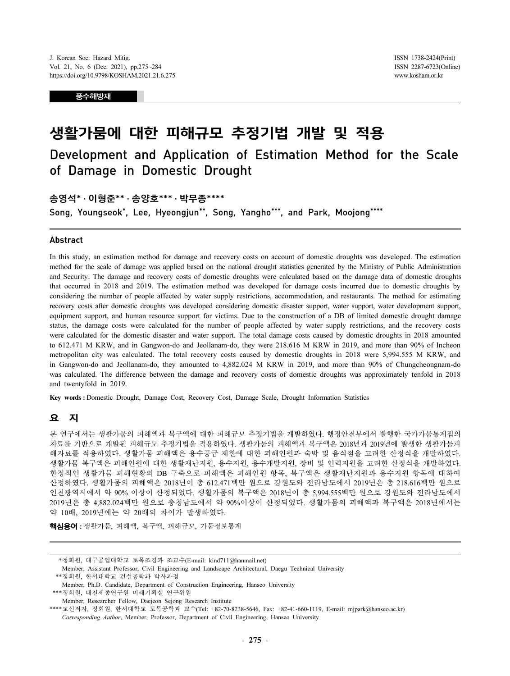풍수해방재

# 생활가뭄에 대한 피해규모 추정기법 개발 및 적용

# Development and Application of Estimation Method for the Scale of Damage in Domestic Drought

### 송영석\* · 이형준\*\* · 송양호\*\*\* · 박무종\*\*\*\*

Song, Youngseok\*, Lee, Hyeongjun\*\*, Song, Yangho\*\*\*, and Park, Moojong\*\*\*\*

#### Abstract

In this study, an estimation method for damage and recovery costs on account of domestic droughts was developed. The estimation method for the scale of damage was applied based on the national drought statistics generated by the Ministry of Public Administration and Security. The damage and recovery costs of domestic droughts were calculated based on the damage data of domestic droughts that occurred in 2018 and 2019. The estimation method was developed for damage costs incurred due to domestic droughts by considering the number of people affected by water supply restrictions, accommodation, and restaurants. The method for estimating recovery costs after domestic droughts was developed considering domestic disaster support, water support, water development support, equipment support, and human resource support for victims. Due to the construction of a DB of limited domestic drought damage status, the damage costs were calculated for the number of people affected by water supply restrictions, and the recovery costs were calculated for the domestic disaster and water support. The total damage costs caused by domestic droughts in 2018 amounted to 612.471 M KRW, and in Gangwon-do and Jeollanam-do, they were 218.616 M KRW in 2019, and more than 90% of Incheon metropolitan city was calculated. The total recovery costs caused by domestic droughts in 2018 were 5,994.555 M KRW, and in Gangwon-do and Jeollanam-do, they amounted to 4,882.024 M KRW in 2019, and more than 90% of Chungcheongnam-do was calculated. The difference between the damage and recovery costs of domestic droughts was approximately tenfold in 2018 and twentyfold in 2019.

Key words : Domestic Drought, Damage Cost, Recovery Cost, Damage Scale, Drought Information Statistics

## 요 지

본 연구에서는 생활가뭄의 피해액과 복구액에 대한 피해규모 추정기법을 개발하였다. 행정안전부에서 발행한 국가가뭄통계집의 자료를 기반으로 개발된 피해규모 추정기법을 적용하였다. 생활가뭄의 피해액과 복구액은 2018년과 2019년에 발생한 생활가뭄피 해자료를 적용하였다. 생활가뭄 피해액은 용수공급 제한에 대한 피해인원과 숙박 및 음식점을 고려한 산정식을 개발하였다. 생활가뭄 복구액은 피해인원에 대한 생활재난지원, 용수지원, 용수개발지원, 장비 및 인력지원을 고려한 산정식을 개발하였다. 한정적인 생활가뭄 피해현황의 DB 구축으로 피해액은 피해인원 항목, 복구액은 생활재난지원과 용수지원 항목에 대하여 산정하였다. 생활가뭄의 피해액은 2018년이 총 612.471백만 원으로 강원도와 전라남도에서 2019년은 총 218.616백만 원으로 인천광역시에서 약 90% 이상이 산정되었다. 생활가뭄의 복구액은 2018년이 총 5,994.555백만 원으로 강원도와 전라남도에서 2019년은 총 4,882.024백만 원으로 충청남도에서 약 90%이상이 산정되었다. 생활가뭄의 피해액과 복구액은 2018년에서는 약 10배, 2019년에는 약 20배의 차이가 발생하였다.

**핵심용어** : 생활가뭄, 피해액, 복구액, 피해규모, 가뭄정보통계

\*\*정회원, 한서대학교 건설공학과 박사과정

\*\*\*정회원, 대전세종연구원 미래기획실 연구위원

<sup>\*</sup>정회원, 대구공업대학교 토목조경과 조교수(E-mail: kind711@hanmail.net)

Member, Assistant Professor, Civil Engineering and Landscape Architectural, Daegu Technical University

Member, Ph.D. Candidate, Department of Construction Engineering, Hanseo University

Member, Researcher Fellow, Daejeon Sejong Research Institute

<sup>\*\*\*\*</sup>교신저자, 정회원, 한서대학교 토목공학과 교수(Tel: +82-70-8238-5646, Fax: +82-41-660-1119, E-mail: mjpark@hanseo.ac.kr) Corresponding Author, Member, Professor, Department of Civil Engineering, Hanseo University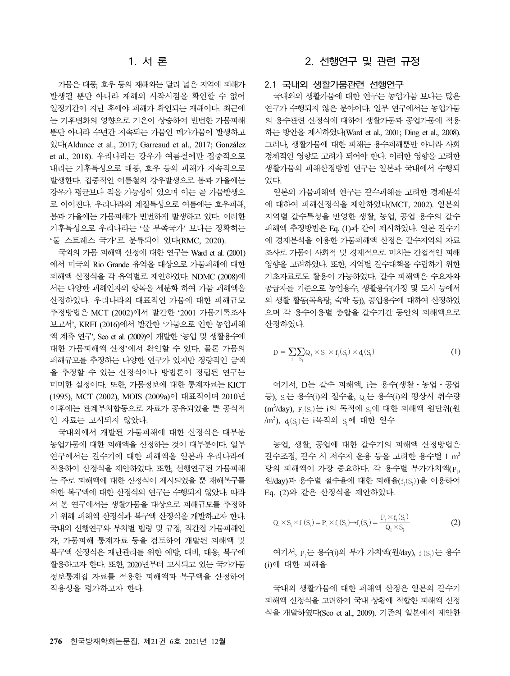가뭄은 태풍, 호우 등의 재해와는 달리 넓은 지역에 피해가 발생될 뿐만 아니라 재해의 시작시점을 확인할 수 없어 일정기간이 지난 후에야 피해가 확인되는 재해이다. 최근에 는 기후변화의 영향으로 기온이 상승하여 빈번한 가뭄피해 뿐만 아니라 수년간 지속되는 가뭄인 메가가뭄이 발생하고 있다(Aldunce et al., 2017; Garreaud et al., 2017; González et al., 2018). 우리나라는 강우가 여름철에만 집중적으로 내리는 기후특성으로 태풍, 호우 등의 피해가 지속적으로 발생한다. 집중적인 여름철의 강우발생으로 봄과 가을에는 강우가 평균보다 적을 가능성이 있으며 이는 곧 가뭄발생으 로 이어진다. 우리나라의 계절특성으로 여름에는 호우피해, 봄과 가을에는 가뭄피해가 빈번하게 발생하고 있다. 이러한 기후특성으로 우리나라는 '물 부족국가' 보다는 정확히는 '물 스트레스 국가'로 분류되어 있다(RMC, 2020).

국외의 가뭄 피해액 산정에 대한 연구는 Ward et al. (2001) 에서 미국의 Rio Grande 유역을 대상으로 가뭄피해에 대한 피해액 산정식을 각 유역별로 제안하였다. NDMC (2008)에 서는 다양한 피해인자의 항목을 세분화 하여 가뭄 피해액을 산정하였다. 우리나라의 대표적인 가뭄에 대한 피해규모 추정방법은 MCT (2002)에서 발간한 '2001 가뭄기록조사 보고서', KREI (2016)에서 발간한 '가뭄으로 인한 농업피해 액 계측 연구', Seo et al. (2009)이 개발한 '농업 및 생활용수에 대한 가뭄피해액 산정'에서 확인할 수 있다. 물론 가뭄의 피해규모를 추정하는 다양한 연구가 있지만 정량적인 금액 을 추정할 수 있는 산정식이나 방법론이 정립된 연구는 미미한 실정이다. 또한, 가뭄정보에 대한 통계자료는 KICT (1995), MCT (2002), MOIS (2009a)이 대표적이며 2010년 이후에는 관계부처합동으로 자료가 공유되었을 뿐 공식적 인 자료는 고시되지 않았다.

국내외에서 개발된 가뭄피해에 대한 산정식은 대부분 농업가뭄에 대한 피해액을 산정하는 것이 대부분이다. 일부 연구에서는 갈수기에 대한 피해액을 일본과 우리나라에 적용하여 산정식을 제안하였다. 또한, 선행연구된 가뭄피해 는 주로 피해액에 대한 산정식이 제시되었을 뿐 재해복구를 위한 복구액에 대한 산정식의 연구는 수행되지 않았다. 따라 서 본 연구에서는 생활가뭄을 대상으로 피해규모를 추정하 기 위해 피해액 산정식과 복구액 산정식을 개발하고자 한다. 국내외 선행연구와 부처별 법령 및 규정, 직간접 가뭄피해인 자, 가뭄피해 통계자료 등을 검토하여 개발된 피해액 및 복구액 산정식은 재난관리를 위한 예방, 대비, 대응, 복구에 활용하고자 한다. 또한, 2020년부터 고시되고 있는 국가가뭄 정보통계집 자료를 적용한 피해액과 복구액을 산정하여 적용성을 평가하고자 한다.

# 2. 선행연구 및 관련 규정

## 2.1 국내외 생활가뭄관련 선행연구

국내외의 생활가뭄에 대한 연구는 농업가뭄 보다는 많은 연구가 수행되지 않은 분야이다. 일부 연구에서는 농업가뭄 의 용수관련 산정식에 대하여 생활가뭄과 공업가뭄에 적용 하는 방안을 제시하였다(Ward et al., 2001; Ding et al., 2008). 그러나, 생활가뭄에 대한 피해는 용수피해뿐만 아니라 사회 경제적인 영향도 고려가 되어야 한다. 이러한 영향을 고려한 생활가뭄의 피해산정방법 연구는 일본과 국내에서 수행되 었다.

일본의 가뭄피해액 연구는 갈수피해를 고려한 경제분석 에 대하여 피해산정식을 제안하였다(MCT, 2002). 일본의 지역별 갈수특성을 반영한 생활, 농업, 공업 용수의 갈수 피해액 추정방법은 Eq. (1)과 같이 제시하였다. 일본 갈수기 에 경제분석을 이용한 가뭄피해액 산정은 갈수지역의 자료 조사로 가뭄이 사회적 및 경제적으로 미치는 간접적인 피해 영향을 고려하였다. 또한, 지역별 갈수대책을 수립하기 위한 기초자료로도 활용이 가능하였다. 갈수 피해액은 수요자와 공급자를 기준으로 농업용수, 생활용수(가정 및 도시 등에서 의 생활 활동(목욕탕, 숙박 등)), 공업용수에 대하여 산정하였 으며 각 용수이용별 총합을 갈수기간 동안의 피해액으로 산정하였다. ! **관련 규구**<br>선행연구 농업가능 경우 : 9봉환가뭄과 등 한 호박 연구 등 이러운 기업 등 이러운 경우 등 이러운 경우 등 이러운 경우 등 이러워 사정은 무료 경우 시설 사항 경우 등 공식 시작성은 미치 같은 기업 사항 이 시작 산정은 미치 같은 사람 사항 시대 같은 사람 사항 시대 사항 공항 공업용수에 대한 일본 수기간 등 용수(가정 대한 일본 수기간 통일 공업용수이간 통일 공업용수이간

$$
D = \sum_{i} \sum_{S_i} Q_i \times S_i \times f_i(S_i) \times d_i(S_i)
$$
 (1)

여기서, D는 갈수 피해액, i는 용수(생활⋅농업⋅공업 등), S<sub>i</sub>는 용수(i)의 절수율, Q<sub>i</sub>는 용수(i)의 평상시 취수량 (m<sup>3</sup>/day),  $F_i(S_i)$ 는 i의 목적에  $S_i$ 에 대한 피해액 원단위(원 /m<sup>3</sup>), <sub>d;</sub>(S<sub>i</sub>)는 i목적의 <sub>Si</sub>에 대한 일수

농업, 생활, 공업에 대한 갈수기의 피해액 산정방법은 갈수조정, 갈수 시 저수지 운용 등을 고려한 용수별 1  $m<sup>3</sup>$ 당의 피해액이 가장 중요하다. 각 용수별 부가가치액(P<sub>i</sub>, 원/day)과 용수별 절수율에 대한 피해율 $(f_i(S_i))$ 을 이용하여 Eq. (2)와 같은 산정식을 제안하였다.

$$
Q_i \times S_i \times f_i(S_i) = P_i \times f_i(S_i) \to f_i(S_i) = \frac{P_i \times f_i(S_i)}{Q_i \times S_i}
$$
 (2)

여기서, P<sub>i</sub>는 용수(i)의 부가 가치액(원/day), f<sub>i</sub>(S<sub>i</sub>)는 용수 (i)에 대한 피해율

국내의 생활가뭄에 대한 피해액 산정은 일본의 갈수기 피해액 산정식을 고려하여 국내 상황에 적합한 피해액 산정 식을 개발하였다(Seo et al., 2009). 기존의 일본에서 제안한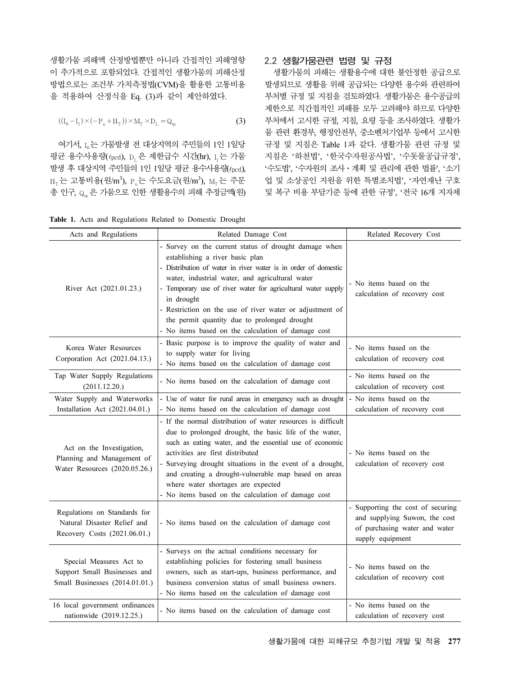생활가뭄 피해액 산정방법뿐만 아니라 간접적인 피해영향 이 추가적으로 포함되었다. 간접적인 생활가뭄의 피해산정 방법으로는 조건부 가치측정법(CVM)을 활용한 고통비용 을 적용하여 산정식을 Eq. (3)과 같이 제안하였다.

$$
((I_0 - I_f) \times (-P_u + H_T)) \times M_T \times D_L = Q_m
$$
\n(3)

여기서, I는 가뭄발생 전 대상지역의 주민들의 1인 1일당 평균 용수사용량( $\ell_{\text{pcd}}$ ),  $D_{L}$ 은 제한급수 시간(hr),  $L_{L}$ 는 가뭄 발생 후 대상지역 주민들의 1인 1일당 평균 용수사용량(pcd),  $_{\rm H_T}$ 는 고통비용(원/m $^3$ ),  $_{\rm P_u}$ 는 수도요금(원/m $^3$ ),  $_{\rm M_T}$ 는 주문 총 인구, Qm은 가뭄으로 인한 생활용수의 피해 추정금액(원)

#### 2.2 생활가뭄관련 법령 및 규정

생활가뭄의 피해는 생활용수에 대한 불안정한 공급으로 발생되므로 생활을 위해 공급되는 다양한 용수와 관련하여 부처별 규정 및 지침을 검토하였다. 생활가뭄은 용수공급의 제한으로 직간접적인 피해를 모두 고려해야 하므로 다양한 부처에서 고시한 규정, 지침, 요령 등을 조사하였다. 생활가 뭄 관련 환경부, 행정안전부, 중소벤처기업부 등에서 고시한 규정 및 지침은 Table 1과 같다. 생활가뭄 관련 규정 및 지침은 '하천법', '한국수자원공사법', '수돗물공급규정', '수도법', '수자원의 조사⋅계획 및 관리에 관한 법률', '소기 업 및 소상공인 지원을 위한 특별조치법', '자연재난 구호 및 복구 비용 부담기준 등에 관한 규정', '전국 16개 지자체

Table 1. Acts and Regulations Related to Domestic Drought

| Acts and Regulations                                                                        | Related Damage Cost                                                                                                                                                                                                                                                                                                                                                                                                                                           | Related Recovery Cost                                                                                                   |  |  |
|---------------------------------------------------------------------------------------------|---------------------------------------------------------------------------------------------------------------------------------------------------------------------------------------------------------------------------------------------------------------------------------------------------------------------------------------------------------------------------------------------------------------------------------------------------------------|-------------------------------------------------------------------------------------------------------------------------|--|--|
| River Act (2021.01.23.)                                                                     | - Survey on the current status of drought damage when<br>establishing a river basic plan<br>- Distribution of water in river water is in order of domestic<br>water, industrial water, and agricultural water<br>- Temporary use of river water for agricultural water supply<br>in drought<br>- Restriction on the use of river water or adjustment of<br>the permit quantity due to prolonged drought<br>- No items based on the calculation of damage cost | - No items based on the<br>calculation of recovery cost                                                                 |  |  |
| Korea Water Resources<br>Corporation Act (2021.04.13.)                                      | - Basic purpose is to improve the quality of water and<br>to supply water for living<br>- No items based on the calculation of damage cost                                                                                                                                                                                                                                                                                                                    | - No items based on the<br>calculation of recovery cost                                                                 |  |  |
| Tap Water Supply Regulations<br>(2011.12.20.)                                               | - No items based on the<br>- No items based on the calculation of damage cost<br>calculation of recovery cost                                                                                                                                                                                                                                                                                                                                                 |                                                                                                                         |  |  |
| Water Supply and Waterworks<br>Installation Act (2021.04.01.)                               | - Use of water for rural areas in emergency such as drought<br>- No items based on the calculation of damage cost                                                                                                                                                                                                                                                                                                                                             | - No items based on the<br>calculation of recovery cost                                                                 |  |  |
| Act on the Investigation,<br>Planning and Management of<br>Water Resources (2020.05.26.)    | - If the normal distribution of water resources is difficult<br>due to prolonged drought, the basic life of the water,<br>such as eating water, and the essential use of economic<br>activities are first distributed<br>- Surveying drought situations in the event of a drought,<br>and creating a drought-vulnerable map based on areas<br>where water shortages are expected<br>- No items based on the calculation of damage cost                        | - No items based on the<br>calculation of recovery cost                                                                 |  |  |
| Regulations on Standards for<br>Natural Disaster Relief and<br>Recovery Costs (2021.06.01.) | - No items based on the calculation of damage cost                                                                                                                                                                                                                                                                                                                                                                                                            | - Supporting the cost of securing<br>and supplying Suwon, the cost<br>of purchasing water and water<br>supply equipment |  |  |
| Special Measures Act to<br>Support Small Businesses and<br>Small Businesses (2014.01.01.)   | - Surveys on the actual conditions necessary for<br>establishing policies for fostering small business<br>owners, such as start-ups, business performance, and<br>business conversion status of small business owners.<br>- No items based on the calculation of damage cost                                                                                                                                                                                  | - No items based on the<br>calculation of recovery cost                                                                 |  |  |
| 16 local government ordinances<br>nationwide (2019.12.25.)                                  | - No items based on the calculation of damage cost                                                                                                                                                                                                                                                                                                                                                                                                            | - No items based on the<br>calculation of recovery cost                                                                 |  |  |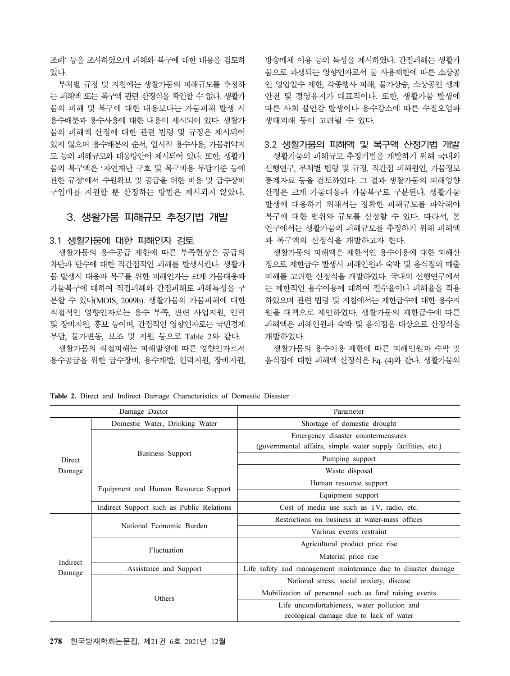조례' 등을 조사하였으며 피해와 복구에 대한 내용을 검토하 였다.

부처별 규정 및 지침에는 생활가뭄의 피해규모를 추정하 는 피해액 또는 복구액 관련 산정식을 확인할 수 없다. 생활가 뭄의 피해 및 복구에 대한 내용보다는 가뭄피해 발생 시 용수배분과 용수사용에 대한 내용이 제시되어 있다. 생활가 뭄의 피해액 산정에 대한 관련 법령 및 규정은 제시되어 있지 않으며 용수배분의 순서, 일시적 용수사용, 가뭄취약지 도 등의 피해규모와 대응방안이 제시되어 있다. 또한, 생활가 뭄의 복구액은 '자연재난 구호 및 복구비용 부담기준 등에 관한 규정'에서 수원확보 및 공급을 위한 비용 및 급수장비 구입비를 지원할 뿐 산정하는 방법은 제시되지 않았다.

## 3. 생활가뭄 피해규모 추정기법 개발

#### 3.1 생활가뭄에 대한 피해인자 검토

생활가뭄의 용수공급 제한에 따른 부족현상은 공급의 차단과 단수에 대한 직간접적인 피해를 발생시킨다. 생활가 뭄 발생시 대응과 복구를 위한 피해인자는 크게 가뭄대응과 가뭄복구에 대하여 직접피해와 간접피해로 피해특성을 구 분할 수 있다(MOIS, 2009b). 생활가뭄의 가뭄피해에 대한 직접적인 영향인자로는 용수 부족, 관련 사업지원, 인력 및 장비지원, 홍보 등이며, 간접적인 영향인자로는 국민경제 부담, 물가변동, 보조 및 지원 등으로 Table 2와 같다.

생활가뭄의 직접피해는 피해발생에 따른 영향인자로서 용수공급을 위한 급수장비, 용수개발, 인력지원, 장비지원,

방송매체 이용 등의 특성을 제시하였다. 간접피해는 생활가 뭄으로 파생되는 영향인자로서 물 사용제한에 따른 소상공 인 영업일수 제한, 각종행사 피해, 물가상승, 소상공인 생계 안전 및 경영유지가 대표적이다. 또한, 생활가뭄 발생에 따른 사회 불안감 발생이나 용수감소에 따른 수질오염과 생태피해 등이 고려될 수 있다.

#### 3.2 생활가뭄의 피해액 및 복구액 산정기법 개발

생활가뭄의 피해규모 추정기법을 개발하기 위해 국내외 선행연구, 부처별 법령 및 규정, 직간접 피해원인, 가뭄정보 통계자료 등을 검토하였다. 그 결과 생활가뭄의 피해영향 산정은 크게 가뭄대응과 가뭄복구로 구분된다. 생활가뭄 발생에 대응하기 위해서는 정확한 피해규모를 파악해야 복구에 대한 범위와 규모를 산정할 수 있다. 따라서, 본 연구에서는 생활가뭄의 피해규모를 추정하기 위해 피해액 과 복구액의 산정식을 개발하고자 한다.

생활가뭄의 피해액은 제한적인 용수이용에 대한 피해산 정으로 제한급수 발생시 피해인원과 숙박 및 음식점의 매출 피해를 고려한 산정식을 개발하였다. 국내외 선행연구에서 는 제한적인 용수이용에 대하여 절수율이나 피해율을 적용 하였으며 관련 법령 및 지침에서는 제한급수에 대한 용수지 원을 대책으로 제안하였다. 생활가뭄의 제한급수에 따른 피해액은 피해인원과 숙박 및 음식점을 대상으로 산정식을 개발하였다.

생활가뭄의 용수이용 제한에 따른 피해인원과 숙박 및 음식점에 대한 피해액 산정식은 Eq. (4)와 같다. 생활가뭄의

| Damage Dactor                          |                                           | Parameter                                                     |  |  |
|----------------------------------------|-------------------------------------------|---------------------------------------------------------------|--|--|
|                                        | Domestic Water, Drinking Water            | Shortage of domestic drought                                  |  |  |
| Direct<br>Damage<br>Indirect<br>Damage |                                           | Emergency disaster countermeasures                            |  |  |
|                                        |                                           | (governmental affairs, simple water supply facilities, etc.)  |  |  |
|                                        | <b>Business Support</b>                   | Pumping support                                               |  |  |
|                                        |                                           | Waste disposal                                                |  |  |
|                                        |                                           | Human resource support                                        |  |  |
|                                        | Equipment and Human Resource Support      | Equipment support                                             |  |  |
|                                        | Indirect Support such as Public Relations | Cost of media use such as TV, radio, etc.                     |  |  |
|                                        | National Economic Burden                  | Restrictions on business at water-mass offices                |  |  |
|                                        |                                           | Various events restraint                                      |  |  |
|                                        | Fluctuation                               | Agricultural product price rise                               |  |  |
|                                        |                                           | Material price rise                                           |  |  |
|                                        | Assistance and Support                    | Life safety and management maintenance due to disaster damage |  |  |
|                                        |                                           | National stress, social anxiety, disease                      |  |  |
|                                        | Others                                    | Mobilization of personnel such as fund raising events         |  |  |
|                                        |                                           | Life uncomfortableness, water pollution and                   |  |  |
|                                        |                                           | ecological damage due to lack of water                        |  |  |

Table 2. Direct and Indirect Damage Characteristics of Domestic Disaster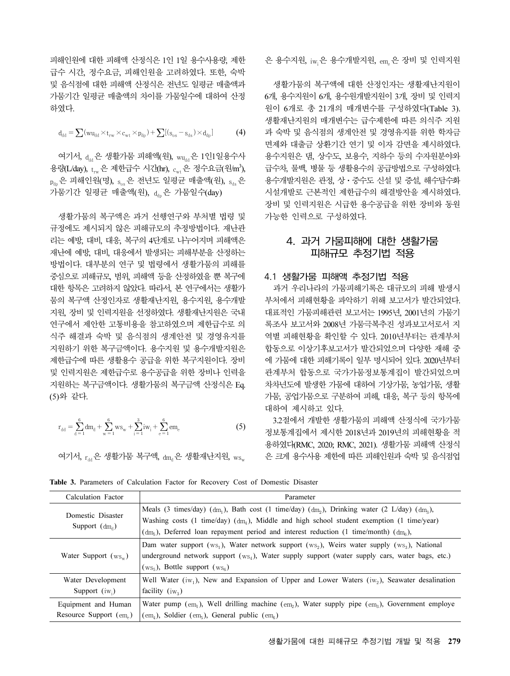피해인원에 대한 피해액 산정식은 1인 1일 용수사용량, 제한 급수 시간, 정수요금, 피해인원을 고려하였다. 또한, 숙박 및 음식점에 대한 피해액 산정식은 전년도 일평균 매출액과 가뭄기간 일평균 매출액의 차이를 가뭄일수에 대하여 산정 하였다.

$$
d_{dd} = \sum (w u_{dd} \times t_{rw} \times c_{wt} \times p_{dp}) + \sum [(s_{os} - s_{ds}) \times d_{dp}]
$$
 (4)

여기서, dad 은 생활가뭄 피해액(원), wuad 은 1인1일용수사 용량(L/day),  $t_{rw}$ 은 제한급수 시간(hr),  $c_{wt}$ 은 정수요금(원/m<sup>3</sup>),  $_{p_{\text{dn}}}$ 은 피해인원(명),  $_{S_{0s}}$ 은 전년도 일평균 매출액(원),  $_{S_{ds}}$ 은 가뭄기간 일평균 매출액(원), dap은 가뭄일수(day)

생활가뭄의 복구액은 과거 선행연구와 부처별 법령 및 규정에도 제시되지 않은 피해규모의 추정방법이다. 재난관 리는 예방, 대비, 대응, 복구의 4단계로 나누어지며 피해액은 재난에 예방, 대비, 대응에서 발생되는 피해부분을 산정하는 방법이다. 대부분의 연구 및 법령에서 생활가뭄의 피해를 중심으로 피해규모, 범위, 피해액 등을 산정하였을 뿐 복구에 대한 항목은 고려하지 않았다. 따라서, 본 연구에서는 생활가 뭄의 복구액 산정인자로 생활재난지원, 용수지원, 용수개발 지원, 장비 및 인력지원을 선정하였다. 생활재난지원은 국내 연구에서 제안한 고통비용을 참고하였으며 제한급수로 의 식주 해결과 숙박 및 음식점의 생계안전 및 경영유지를 지원하기 위한 복구금액이다. 용수지원 및 용수개발지원은 제한급수에 따른 생활용수 공급을 위한 복구지원이다. 장비 및 인력지원은 제한급수로 용수공급을 위한 장비나 인력을 지원하는 복구금액이다. 생활가뭄의 복구금액 산정식은 Eq. (5)와 같다.

$$
r_{dd} = \sum_{d=1}^{6} dm_d + \sum_{w=1}^{6} ws_w + \sum_{i=1}^{3} iw_i + \sum_{e=1}^{6} em_e
$$
 (5)

여기서, r<sub>dd</sub>은 셌할가물 복구액, dm<sub>d</sub>은 쌍할재난지원, 
$$
ws_w
$$

은 용수지원, iw<sub>i</sub>은 용수개발지원, em<sub>e</sub>은 장비 및 인력지원

생활가뭄의 복구액에 대한 산정인자는 생활재난지원이 6개, 용수지원이 6개, 용수원개발지원이 3개, 장비 및 인력지 원이 6개로 총 21개의 매개변수를 구성하였다(Table 3). 생활재난지원의 매개변수는 급수제한에 따른 의식주 지원 과 숙박 및 음식점의 생계안전 및 경영유지를 위한 학자금 면제와 대출금 상환기간 연기 및 이자 감면을 제시하였다. 용수지원은 댐, 상수도, 보용수, 지하수 등의 수자원분야와 급수차, 물백, 병물 등 생활용수의 공급방법으로 구성하였다. 용수개발지원은 관정, 상⋅중수도 신설 및 증설, 해수담수화 시설개발로 근본적인 제한급수의 해결방안을 제시하였다. 장비 및 인력지원은 시급한 용수공급을 위한 장비와 동원 가능한 인력으로 구성하였다.

# 4. 과거 가뭄피해에 대한 생활가뭄 피해규모 추정기법 적용

#### 4.1 생활가뭄 피해액 추정기법 적용

과거 우리나라의 가뭄피해기록은 대규모의 피해 발생시 부처에서 피해현황을 파악하기 위해 보고서가 발간되었다. 대표적인 가뭄피해관련 보고서는 1995년, 2001년의 가뭄기 록조사 보고서와 2008년 가뭄극복추진 성과보고서로서 지 역별 피해현황을 확인할 수 있다. 2010년부터는 관계부처 합동으로 이상기후보고서가 발간되었으며 다양한 재해 중 에 가뭄에 대한 피해기록이 일부 명시되어 있다. 2020년부터 관계부처 합동으로 국가가뭄정보통계집이 발간되었으며 차차년도에 발생한 가뭄에 대하여 기상가뭄, 농업가뭄, 생활 가뭄, 공업가뭄으로 구분하여 피해, 대응, 복구 등의 항목에 대하여 제시하고 있다.

3.2절에서 개발한 생활가뭄의 피해액 산정식에 국가가뭄 정보통계집에서 제시한 2018년과 2019년의 피해현황을 적 용하였다(RMC, 2020; RMC, 2021). 생활가뭄 피해액 산정식 은 크게 용수사용 제한에 따른 피해인원과 숙박 및 음식점업

Table 3. Parameters of Calculation Factor for Recovery Cost of Domestic Disaster

| Calculation Factor               | Parameter                                                                                                                         |
|----------------------------------|-----------------------------------------------------------------------------------------------------------------------------------|
| Domestic Disaster                | Meals (3 times/day) ( $dm_1$ ), Bath cost (1 time/day) ( $dm_2$ ), Drinking water (2 L/day) ( $dm_3$ ),                           |
| Support $dm_a$ )                 | Washing costs (1 time/day) ( $dm_4$ ), Middle and high school student exemption (1 time/year)                                     |
|                                  | $(\text{dm}_{5})$ , Deferred loan repayment period and interest reduction (1 time/month) $(\text{dm}_{6})$ ,                      |
| Water Support $(w_{S_w})$        | Dam water support $(ws_1)$ , Water network support $(ws_2)$ , Weirs water supply $(ws_3)$ , National                              |
|                                  | underground network support (ws4), Water supply support (water supply cars, water bags, etc.)                                     |
|                                  | $(w_{S_5})$ , Bottle support $(w_{S_6})$                                                                                          |
| Water Development                | Well Water $(iw_1)$ , New and Expansion of Upper and Lower Waters $(iw_2)$ , Seawater desalination                                |
| Support $(iw_i)$                 | facility $(iw_3)$                                                                                                                 |
| Equipment and Human              | Water pump (em <sub>1</sub> ), Well drilling machine (em <sub>2</sub> ), Water supply pipe (em <sub>3</sub> ), Government employe |
| Resource Support $(em_{\infty})$ | $(em_4)$ , Soldier (em <sub>5</sub> ), General public (em <sub>6</sub> )                                                          |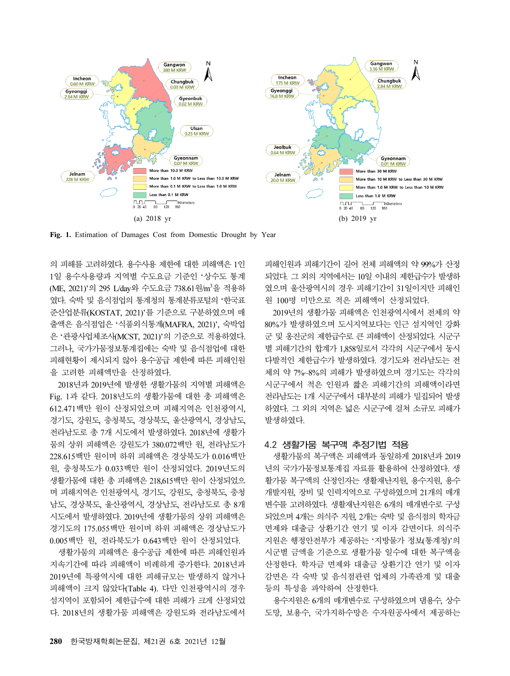

Fig. 1. Estimation of Damages Cost from Domestic Drought by Year

의 피해를 고려하였다. 용수사용 제한에 대한 피해액은 1인 1일 용수사용량과 지역별 수도요금 기준인 '상수도 통계 (ME, 2021)'의 295 L/day와 수도요금 738.61 원/m<sup>3</sup>을 적용하 였다. 숙박 및 음식점업의 통계청의 통계분류포털의 '한국표 준산업분류(KOSTAT, 2021)'를 기준으로 구분하였으며 매 출액은 음식점업은 '식품외식통계(MAFRA, 2021)', 숙박업 은 '관광사업체조사(MCST, 2021)'의 기준으로 적용하였다. 그러나, 국가가뭄정보통계집에는 숙박 및 음식점업에 대한 피해현황이 제시되지 않아 용수공급 제한에 따른 피해인원 을 고려한 피해액만을 산정하였다.

2018년과 2019년에 발생한 생활가뭄의 지역별 피해액은 Fig. 1과 같다. 2018년도의 생활가뭄에 대한 총 피해액은 612.471백만 원이 산정되었으며 피해지역은 인천광역시, 경기도, 강원도, 충청북도, 경상북도, 울산광역시, 경상남도, 전라남도로 총 7개 시도에서 발생하였다. 2018년에 생활가 뭄의 상위 피해액은 강원도가 380.072백만 원, 전라남도가 228.615백만 원이며 하위 피해액은 경상북도가 0.016백만 원, 충청북도가 0.033백만 원이 산정되었다. 2019년도의 생활가뭄에 대한 총 피해액은 218,615백만 원이 산정되었으 며 피해지역은 인천광역시, 경기도, 강원도, 충청북도, 충청 남도, 경상북도, 울산광역시, 경상남도, 전라남도로 총 8개 시도에서 발생하였다. 2019년에 생활가뭄의 상위 피해액은 경기도의 175.055백만 원이며 하위 피해액은 경상남도가 0.005백만 원, 전라북도가 0.643백만 원이 산정되었다.

생활가뭄의 피해액은 용수공급 제한에 따른 피해인원과 지속기간에 따라 피해액이 비례하게 증가한다. 2018년과 2019년에 특광역시에 대한 피해규모는 발생하지 않거나 피해액이 크지 않았다(Table 4). 다만 인천광역시의 경우 섬지역이 포함되어 제한급수에 대한 피해가 크게 산정되었 다. 2018년의 생활가뭄 피해액은 강원도와 전라남도에서

피해인원과 피해기간이 길어 전체 피해액의 약 99%가 산정 되었다. 그 외의 지역에서는 10일 이내의 제한급수가 발생하 였으며 울산광역시의 경우 피해기간이 31일이지만 피해인 원 100명 미만으로 적은 피해액이 산정되었다.

2019년의 생활가뭄 피해액은 인천광역시에서 전체의 약 80%가 발생하였으며 도시지역보다는 인근 섬지역인 강화 군 및 옹진군의 제한급수로 큰 피해액이 산정되었다. 시군구 별 피해기간의 합계가 1,858일로서 각각의 시군구에서 동시 다발적인 제한급수가 발생하였다. 경기도와 전라남도는 전 체의 약 7%~8%의 피해가 발생하였으며 경기도는 각각의 시군구에서 적은 인원과 짧은 피해기간의 피해액이라면 전라남도는 1개 시군구에서 대부분의 피해가 밀집되어 발생 하였다. 그 외의 지역은 넓은 시군구에 걸쳐 소규모 피해가 발생하였다.

## 4.2 생활가뭄 복구액 추정기법 적용

생활가뭄의 복구액은 피해액과 동일하게 2018년과 2019 년의 국가가뭄정보통계집 자료를 활용하여 산정하였다. 생 활가뭄 복구액의 산정인자는 생활재난지원, 용수지원, 용수 개발지원, 장비 및 인력지역으로 구성하였으며 21개의 매개 변수를 고려하였다. 생활재난지원은 6개의 매개변수로 구성 되었으며 4개는 의식주 지원, 2개는 숙박 및 음식점의 학자금 면제와 대출금 상환기간 연기 및 이자 감면이다. 의식주 지원은 행정안전부가 제공하는 '지방물가 정보(통계청)'의 시군별 금액을 기준으로 생활가뭄 일수에 대한 복구액을 산정한다. 학자금 면제와 대출금 상환기간 연기 및 이자 감면은 각 숙박 및 음식점관련 업체의 가족관계 및 대출 등의 특성을 파악하여 산정한다.

용수지원은 6개의 매개변수로 구성하였으며 댐용수, 상수 도망, 보용수, 국가지하수망은 수자원공사에서 제공하는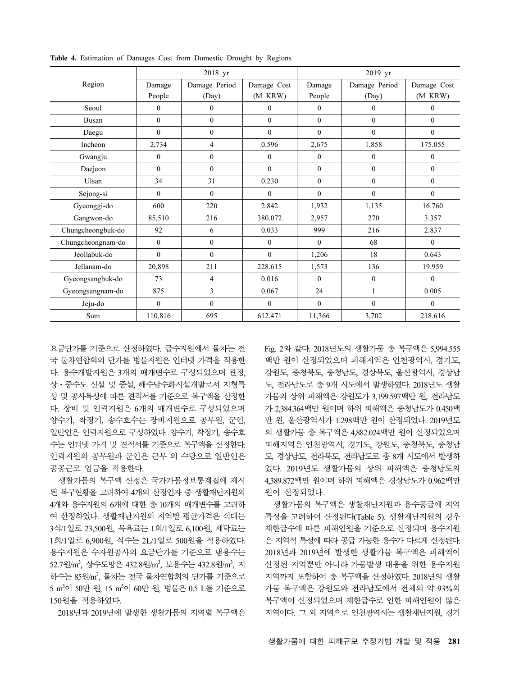|                   | 2018 yr          |                        |                        | 2019 yr          |                        |                        |
|-------------------|------------------|------------------------|------------------------|------------------|------------------------|------------------------|
| Region            | Damage<br>People | Damage Period<br>(Day) | Damage Cost<br>(M KRW) | Damage<br>People | Damage Period<br>(Day) | Damage Cost<br>(M KRW) |
| Seoul             | $\mathbf{0}$     | $\mathbf{0}$           | $\mathbf{0}$           | $\mathbf{0}$     | $\mathbf{0}$           | $\mathbf{0}$           |
| Busan             | $\mathbf{0}$     | $\mathbf{0}$           | $\boldsymbol{0}$       | $\mathbf{0}$     | $\mathbf{0}$           | $\mathbf{0}$           |
| Daegu             | $\theta$         | $\theta$               | $\mathbf{0}$           | $\Omega$         | $\Omega$               | $\mathbf{0}$           |
| Incheon           | 2,734            | 4                      | 0.596                  | 2,675            | 1,858                  | 175.055                |
| Gwangju           | $\theta$         | $\theta$               | $\mathbf{0}$           | $\theta$         | $\theta$               | $\mathbf{0}$           |
| Daejeon           | $\theta$         | $\theta$               | $\overline{0}$         | $\theta$         | $\theta$               | $\mathbf{0}$           |
| Ulsan             | 34               | 31                     | 0.230                  | $\theta$         | $\theta$               | $\mathbf{0}$           |
| Sejong-si         | $\theta$         | $\theta$               | $\theta$               | $\theta$         | $\Omega$               | $\theta$               |
| Gyeonggi-do       | 600              | 220                    | 2.842                  | 1,932            | 1,135                  | 16.760                 |
| Gangwon-do        | 85,510           | 216                    | 380.072                | 2,957            | 270                    | 3.357                  |
| Chungcheongbuk-do | 92               | 6                      | 0.033                  | 999              | 216                    | 2.837                  |
| Chungcheongnam-do | $\mathbf{0}$     | $\mathbf{0}$           | $\mathbf{0}$           | $\theta$         | 68                     | $\theta$               |
| Jeollabuk-do      | $\theta$         | $\theta$               | $\overline{0}$         | 1,206            | 18                     | 0.643                  |
| Jellanam-do       | 20,898           | 211                    | 228.615                | 1,573            | 136                    | 19.959                 |
| Gyeongsangbuk-do  | 73               | $\overline{4}$         | 0.016                  | $\Omega$         | $\theta$               | $\theta$               |
| Gyeongsangnam-do  | 875              | 3                      | 0.067                  | 24               |                        | 0.005                  |
| Jeju-do           | $\theta$         | $\theta$               | $\mathbf{0}$           | $\theta$         | $\theta$               | $\theta$               |
| Sum               | 110,816          | 695                    | 612.471                | 11,366           | 3,702                  | 218.616                |

Table 4. Estimation of Damages Cost from Domestic Drought by Regions

요금단가를 기준으로 산정하였다. 급수지원에서 물차는 전 국 물차연합회의 단가를 병물지원은 인터넷 가격을 적용한 다. 용수개발지원은 3개의 매개변수로 구성되었으며 관정, <sup>상</sup>⋅중수도 신설 및 증설, 해수담수화시설개발로서 지형<sup>특</sup> 성 및 공사특성에 따른 견적서를 기준으로 복구액을 산정한 다. 장비 및 인력지원은 6개의 매개변수로 구성되었으며 양수기, 착정기, 송수호수는 장비지원으로 공무원, 군인, 일반인은 인력지원으로 구성하였다. 양수기, 착정기, 송수호 수는 인터넷 가격 및 견적서를 기준으로 복구액을 산정한다. 인력지원의 공무원과 군인은 근무 외 수당으로 일반인은 공공근로 임금을 적용한다.

생활가뭄의 복구액 산정은 국가가뭄정보통계집에 제시 된 복구현황을 고려하여 4개의 산정인자 중 생활재난지원의 4개와 용수지원의 6개에 대한 총 10개의 매개변수를 고려하 여 산정하였다. 생활재난지원의 지역별 평균가격은 식대는 3식/1일로 23,500원, 목욕료는 1회/1일로 6,100원, 세탁료는 1회/1일로 6,900원, 식수는 2L/1일로 500원을 적용하였다. 용수지원은 수자원공사의 요금단가를 기준으로 댐용수는 52.7원/m<sup>3</sup>, 상수도망은 432.8원/m<sup>3</sup>, 보용수는 432.8원/m<sup>3</sup>, 지 하수는 85원/m<sup>3</sup> , 물차는 전국 물차연합회의 단가를 기준으로 5 m<sup>3</sup>이 50만 원, 15 m<sup>3</sup>이 60만 원, 병물은 0.5 L를 기준으로 150원을 적용하였다.

2018년과 2019년에 발생한 생활가뭄의 지역별 복구액은

Fig. 2와 같다. 2018년도의 생활가뭄 총 복구액은 5,994.555 백만 원이 산정되었으며 피해지역은 인천광역시, 경기도, 강원도, 충청북도, 충청남도, 경상북도, 울산광역시, 경상남 도, 전라남도로 총 9개 시도에서 발생하였다. 2018년도 생활 가뭄의 상위 피해액은 강원도가 3,199.597백만 원, 전라남도 가 2,384.364백만 원이며 하위 피해액은 충청남도가 0.450백 만 원, 울산광역시가 1.298백만 원이 산정되었다. 2019년도 의 생활가뭄 총 복구액은 4,882.024백만 원이 산정되었으며 피해지역은 인천광역시, 경기도, 강원도, 충청북도, 충청남 도, 경상남도, 전라북도, 전라남도로 총 8개 시도에서 발생하 였다. 2019년도 생활가뭄의 상위 피해액은 충청남도의 4,389.872백만 원이며 하위 피해액은 경상남도가 0.962백만 원이 산정되었다.

생활가뭄의 복구액은 생활재난지원과 용수공급에 지역 특성을 고려하여 산정된다(Table 5). 생활재난지원의 경우 제한급수에 따른 피해인원을 기준으로 산정되며 용수지원 은 지역적 특성에 따라 공급 가능한 용수가 다르게 산정된다. 2018년과 2019년에 발생한 생활가뭄 복구액은 피해액이 산정된 지역뿐만 아니라 가뭄발생 대응을 위한 용수지원 지역까지 포함하여 총 복구액을 산정하였다. 2018년의 생활 가뭄 복구액은 강원도와 전라남도에서 전체의 약 93%의 복구액이 산정되었으며 제한급수로 인한 피해인원이 많은 지역이다. 그 외 지역으로 인천광역시는 생활재난지원, 경기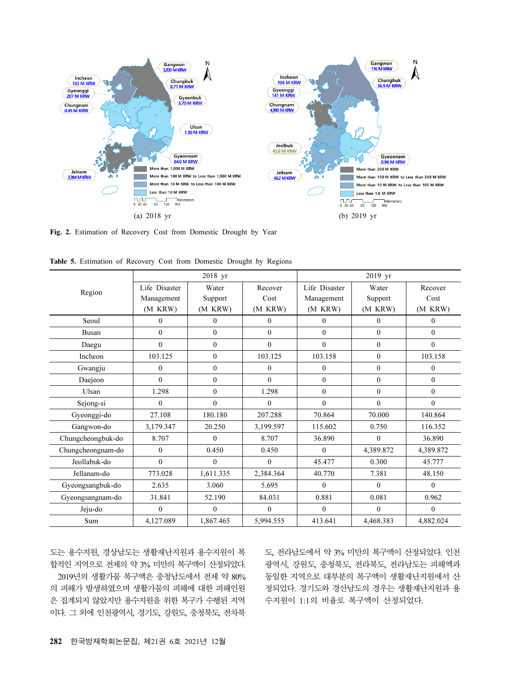

Fig. 2. Estimation of Recovery Cost from Domestic Drought by Year

|                   |               | 2018 yr          |                | 2019 yr       |              |              |
|-------------------|---------------|------------------|----------------|---------------|--------------|--------------|
| Region            | Life Disaster | Water            | Recover        | Life Disaster | Water        | Recover      |
|                   | Management    | Support          | Cost           | Management    | Support      | Cost         |
|                   | (M KRW)       | (M KRW)          | (M KRW)        | (M KRW)       | (M KRW)      | (M KRW)      |
| Seoul             | $\theta$      | $\theta$         | $\theta$       | $\Omega$      | $\Omega$     | $\Omega$     |
| <b>Busan</b>      | $\Omega$      | $\theta$         | $\Omega$       | $\Omega$      | $\theta$     | $\Omega$     |
| Daegu             | $\mathbf{0}$  | $\boldsymbol{0}$ | $\overline{0}$ | $\mathbf{0}$  | $\mathbf{0}$ | $\mathbf{0}$ |
| Incheon           | 103.125       | $\overline{0}$   | 103.125        | 103.158       | $\theta$     | 103.158      |
| Gwangju           | $\theta$      | $\overline{0}$   | $\theta$       | $\theta$      | $\theta$     | $\theta$     |
| Daejeon           | $\mathbf{0}$  | $\overline{0}$   | $\Omega$       | $\mathbf{0}$  | $\mathbf{0}$ | $\mathbf{0}$ |
| Ulsan             | 1.298         | $\theta$         | 1.298          | $\Omega$      | $\Omega$     | $\Omega$     |
| Sejong-si         | $\Omega$      | $\overline{0}$   | $\Omega$       | $\Omega$      | $\theta$     | $\Omega$     |
| Gyeonggi-do       | 27.108        | 180.180          | 207.288        | 70.864        | 70.000       | 140.864      |
| Gangwon-do        | 3,179.347     | 20.250           | 3.199.597      | 115.602       | 0.750        | 116.352      |
| Chungcheongbuk-do | 8.707         | $\Omega$         | 8.707          | 36.890        | $\Omega$     | 36.890       |
| Chungcheongnam-do | $\mathbf{0}$  | 0.450            | 0.450          | $\Omega$      | 4,389.872    | 4,389.872    |
| Jeollabuk-do      | $\mathbf{0}$  | $\boldsymbol{0}$ | $\theta$       | 45.477        | 0.300        | 45.777       |
| Jellanam-do       | 773.028       | 1,611.335        | 2,384.364      | 40.770        | 7.381        | 48.150       |
| Gyeongsangbuk-do  | 2.635         | 3.060            | 5.695          | $\Omega$      | $\Omega$     | $\Omega$     |
| Gyeongsangnam-do  | 31.841        | 52.190           | 84.031         | 0.881         | 0.081        | 0.962        |
| Jeju-do           | $\mathbf{0}$  | $\overline{0}$   | $\theta$       | $\Omega$      | $\Omega$     | $\theta$     |
| Sum               | 4,127.089     | 1,867.465        | 5,994.555      | 413.641       | 4,468.383    | 4.882.024    |

Table 5. Estimation of Recovery Cost from Domestic Drought by Regions

도는 용수지원, 경상남도는 생활재난지원과 용수지원이 복 합적인 지역으로 전체의 약 3% 미만의 복구액이 산정되었다. 2019년의 생활가뭄 복구액은 충청남도에서 전체 약 80% 의 피해가 발생하였으며 생활가뭄의 피해에 대한 피해인원 은 집계되지 않았지만 용수지원을 위한 복구가 수행된 지역 이다. 그 외에 인천광역시, 경기도, 강원도, 충청북도, 전차북

도, 전라남도에서 약 3% 미만의 복구액이 산정되었다. 인천 광역시, 강원도, 충청북도, 전라북도, 전라남도는 피해액과 동일한 지역으로 대부분의 복구액이 생활재난지원에서 산 정되었다. 경기도와 경산남도의 경우는 생활재난지원과 용 수지원이 1:1의 비율로 복구액이 산정되었다.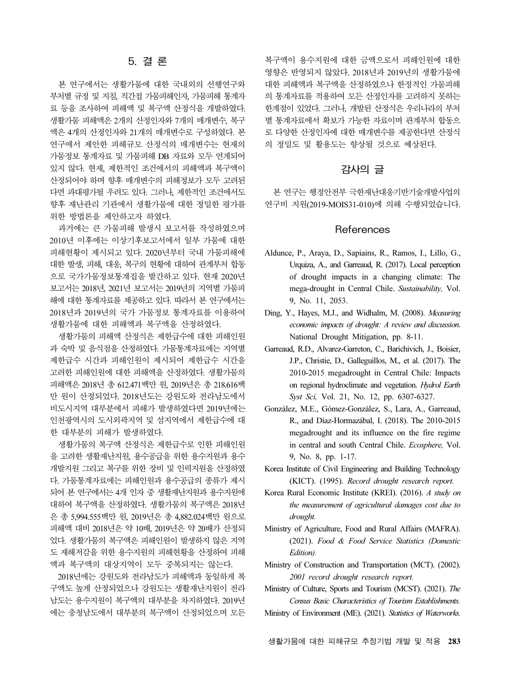본 연구에서는 생활가뭄에 대한 국내외의 선행연구와 부처별 규정 및 지침, 직간접 가뭄피해인자, 가뭄피해 통계자 료 등을 조사하여 피해액 및 복구액 산정식을 개발하였다. 생활가뭄 피해액은 2개의 산정인자와 7개의 매개변수, 복구 액은 4개의 산정인자와 21개의 매개변수로 구성하였다. 본 연구에서 제안한 피해규모 산정식의 매개변수는 현재의 가뭄정보 통계자료 및 가뭄피해 DB 자료와 모두 연계되어 있지 않다. 현재, 제한적인 조건에서의 피해액과 복구액이 산정되어야 하며 향후 매개변수의 피해정보가 모두 고려된 다면 과대평가될 우려도 있다. 그러나, 제한적인 조건에서도 향후 재난관리 기관에서 생활가뭄에 대한 정밀한 평가를 위한 방법론을 제안하고자 하였다.

과거에는 큰 가뭄피해 발생시 보고서를 작성하였으며 2010년 이후에는 이상기후보고서에서 일부 가뭄에 대한 피해현황이 제시되고 있다. 2020년부터 국내 가뭄피해에 대한 발생, 피해, 대응, 복구의 현황에 대하여 관계부처 합동 으로 국가가뭄정보통계집을 발간하고 있다. 현재 2020년 보고서는 2018년, 2021년 보고서는 2019년의 지역별 가뭄피 해에 대한 통계자료를 제공하고 있다. 따라서 본 연구에서는 2018년과 2019년의 국가 가뭄정보 통계자료를 이용하여 생활가뭄에 대한 피해액과 복구액을 산정하였다.

생활가뭄의 피해액 산정식은 제한급수에 대한 피해인원 과 숙박 및 음식점을 산정하였다. 가뭄통계자료에는 지역별 제한급수 시간과 피해인원이 제시되어 제한급수 시간을 고려한 피해인원에 대한 피해액을 산정하였다. 생활가뭄의 피해액은 2018년 총 612.471백만 원, 2019년은 총 218.616백 만 원이 산정되었다. 2018년도는 강원도와 전라남도에서 비도시지역 대부분에서 피해가 발생하였다면 2019년에는 인천광역시의 도시외곽지역 및 섬지역에서 제한급수에 대 한 대부분의 피해가 발생하였다.

생활가뭄의 복구액 산정식은 제한급수로 인한 피해인원 을 고려한 생활재난지원, 용수공급을 위한 용수지원과 용수 개발지원 그리고 복구를 위한 장비 및 인력지원을 산정하였 다. 가뭄통계자료에는 피해인원과 용수공급의 종류가 제시 되어 본 연구에서는 4개 인자 중 생활재난지원과 용수지원에 대하여 복구액을 산정하였다. 생활가뭄의 복구액은 2018년 은 총 5,994.555백만 원, 2019년은 총 4,882.024백만 원으로 피해액 대비 2018년은 약 10배, 2019년은 약 20배가 산정되 었다. 생활가뭄의 복구액은 피해인원이 발생하지 않은 지역 도 재해저감을 위한 용수지원의 피해현황을 산정하여 피해 액과 복구액의 대상지역이 모두 중복되지는 않는다.

2018년에는 강원도와 전라남도가 피해액과 동일하게 복 구액도 높게 산정되었으나 강원도는 생활재난지원이 전라 남도는 용수지원이 복구액의 대부분을 차지하였다. 2019년 에는 충청남도에서 대부분의 복구액이 산정되었으며 모든 복구액이 용수지원에 대한 금액으로서 피해인원에 대한 영향은 반영되지 않았다. 2018년과 2019년의 생활가뭄에 대한 피해액과 복구액을 산정하였으나 한정적인 가뭄피해 의 통계자료를 적용하여 모든 산정인자를 고려하지 못하는 한계점이 있었다. 그러나, 개발된 산정식은 우리나라의 부처 별 통계자료에서 확보가 가능한 자료이며 관계부처 합동으 로 다양한 산정인자에 대한 매개변수를 제공한다면 산정식 의 정밀도 및 활용도는 향상될 것으로 예상된다.

# 감사의 글

본 연구는 행정안전부 극한재난대응기반기술개발사업의 연구비 지원(2019-MOIS31-010)에 의해 수행되었습니다.

## **References**

- Aldunce, P., Araya, D., Sapiains, R., Ramos, I., Lillo, G., Urquiza, A., and Garreaud, R. (2017). Local perception of drought impacts in a changing climate: The mega-drought in Central Chile. Sustainability, Vol. 9, No. 11, 2053.
- Ding, Y., Hayes, M.J., and Widhalm, M. (2008). Measuring economic impacts of drought: A review and discussion. National Drought Mitigation, pp. 8-11.
- Garreaud, R.D., Alvarez-Garreton, C., Barichivich, J., Boisier, J.P., Christie, D., Galleguillos, M., et al. (2017). The 2010-2015 megadrought in Central Chile: Impacts on regional hydroclimate and vegetation. Hydrol Earth Syst Sci, Vol. 21, No. 12, pp. 6307-6327.
- González, M.E., Gómez-González, S., Lara, A., Garreaud, R., and Díaz-Hormazábal, I. (2018). The 2010-2015 megadrought and its influence on the fire regime in central and south Central Chile. Ecosphere, Vol. 9, No. 8, pp. 1-17.
- Korea Institute of Civil Engineering and Building Technology (KICT). (1995). Record drought research report.
- Korea Rural Economic Institute (KREI). (2016). A study on the measurement of agricultural damages cost due to drought.
- Ministry of Agriculture, Food and Rural Affairs (MAFRA). (2021). Food & Food Service Statistics (Domestic Edition).
- Ministry of Construction and Transportation (MCT). (2002). 2001 record drought research report.

Ministry of Culture, Sports and Tourism (MCST). (2021). The Census Basic Characteristics of Tourism Establishments.

Ministry of Environment (ME). (2021). Statistics of Waterworks.